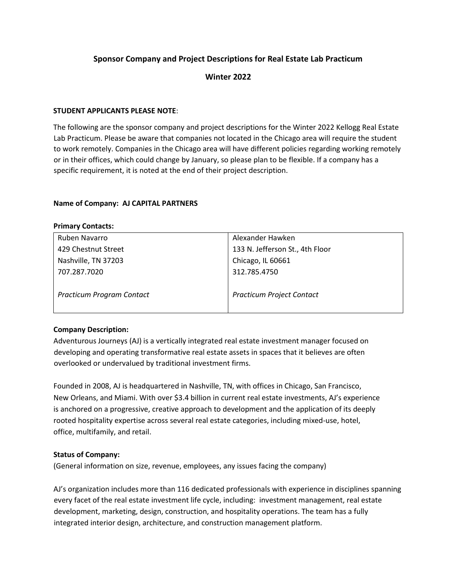# **Sponsor Company and Project Descriptions for Real Estate Lab Practicum**

## **Winter 2022**

### **STUDENT APPLICANTS PLEASE NOTE**:

The following are the sponsor company and project descriptions for the Winter 2022 Kellogg Real Estate Lab Practicum. Please be aware that companies not located in the Chicago area will require the student to work remotely. Companies in the Chicago area will have different policies regarding working remotely or in their offices, which could change by January, so please plan to be flexible. If a company has a specific requirement, it is noted at the end of their project description.

#### **Name of Company: AJ CAPITAL PARTNERS**

| <b>Primary Contacts:</b>         |                                  |
|----------------------------------|----------------------------------|
| Ruben Navarro                    | Alexander Hawken                 |
| 429 Chestnut Street              | 133 N. Jefferson St., 4th Floor  |
| Nashville, TN 37203              | Chicago, IL 60661                |
| 707.287.7020                     | 312.785.4750                     |
| <b>Practicum Program Contact</b> | <b>Practicum Project Contact</b> |

## **Company Description:**

Adventurous Journeys (AJ) is a vertically integrated real estate investment manager focused on developing and operating transformative real estate assets in spaces that it believes are often overlooked or undervalued by traditional investment firms.

Founded in 2008, AJ is headquartered in Nashville, TN, with offices in Chicago, San Francisco, New Orleans, and Miami. With over \$3.4 billion in current real estate investments, AJ's experience is anchored on a progressive, creative approach to development and the application of its deeply rooted hospitality expertise across several real estate categories, including mixed-use, hotel, office, multifamily, and retail.

## **Status of Company:**

(General information on size, revenue, employees, any issues facing the company)

AJ's organization includes more than 116 dedicated professionals with experience in disciplines spanning every facet of the real estate investment life cycle, including: investment management, real estate development, marketing, design, construction, and hospitality operations. The team has a fully integrated interior design, architecture, and construction management platform.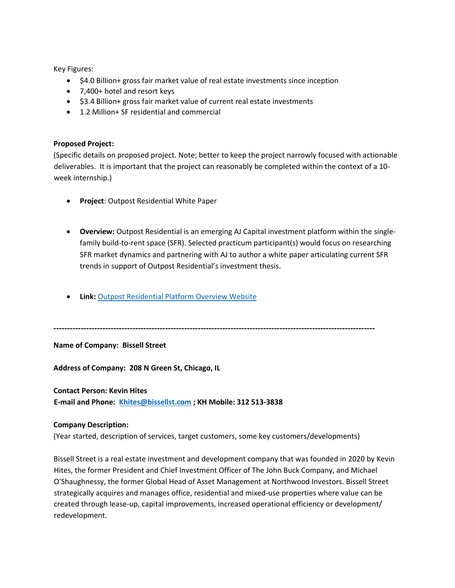Key Figures:

- \$4.0 Billion+ gross fair market value of real estate investments since inception
- 7,400+ hotel and resort keys
- \$3.4 Billion+ gross fair market value of current real estate investments
- 1.2 Million+ SF residential and commercial

#### **Proposed Project:**

(Specific details on proposed project. Note; better to keep the project narrowly focused with actionable deliverables. It is important that the project can reasonably be completed within the context of a 10 week internship.)

- **Project**: Outpost Residential White Paper
- **Overview:** Outpost Residential is an emerging AJ Capital investment platform within the singlefamily build-to-rent space (SFR). Selected practicum participant(s) would focus on researching SFR market dynamics and partnering with AJ to author a white paper articulating current SFR trends in support of Outpost Residential's investment thesis.
- **Link:** [Outpost Residential Platform Overview Website](https://www.outpostresidential.com/)

**----------------------------------------------------------------------------------------------------------------------**

**Name of Company: Bissell Street**

**Address of Company: 208 N Green St, Chicago, IL**

#### **Contact Person: Kevin Hites**

**E-mail and Phone: [Khites@bissellst.com](mailto:Khites@bissellst.com) ; KH Mobile: 312 513-3838**

#### **Company Description:**

(Year started, description of services, target customers, some key customers/developments)

Bissell Street is a real estate investment and development company that was founded in 2020 by Kevin Hites, the former President and Chief Investment Officer of The John Buck Company, and Michael O'Shaughnessy, the former Global Head of Asset Management at Northwood Investors. Bissell Street strategically acquires and manages office, residential and mixed-use properties where value can be created through lease-up, capital improvements, increased operational efficiency or development/ redevelopment.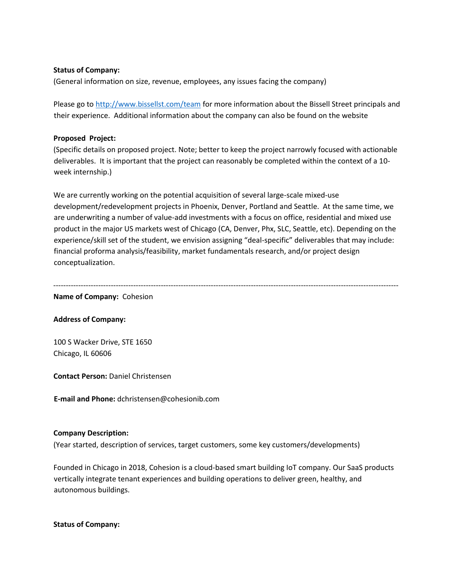## **Status of Company:**

(General information on size, revenue, employees, any issues facing the company)

Please go t[o http://www.bissellst.com/team](http://www.bissellst.com/team) for more information about the Bissell Street principals and their experience. Additional information about the company can also be found on the website

#### **Proposed Project:**

(Specific details on proposed project. Note; better to keep the project narrowly focused with actionable deliverables. It is important that the project can reasonably be completed within the context of a 10 week internship.)

We are currently working on the potential acquisition of several large-scale mixed-use development/redevelopment projects in Phoenix, Denver, Portland and Seattle. At the same time, we are underwriting a number of value-add investments with a focus on office, residential and mixed use product in the major US markets west of Chicago (CA, Denver, Phx, SLC, Seattle, etc). Depending on the experience/skill set of the student, we envision assigning "deal-specific" deliverables that may include: financial proforma analysis/feasibility, market fundamentals research, and/or project design conceptualization.

------------------------------------------------------------------------------------------------------------------------------------------

**Name of Company:** Cohesion

## **Address of Company:**

100 S Wacker Drive, STE 1650 Chicago, IL 60606

**Contact Person:** Daniel Christensen

**E-mail and Phone:** dchristensen@cohesionib.com

#### **Company Description:**

(Year started, description of services, target customers, some key customers/developments)

Founded in Chicago in 2018, Cohesion is a cloud-based smart building IoT company. Our SaaS products vertically integrate tenant experiences and building operations to deliver green, healthy, and autonomous buildings.

**Status of Company:**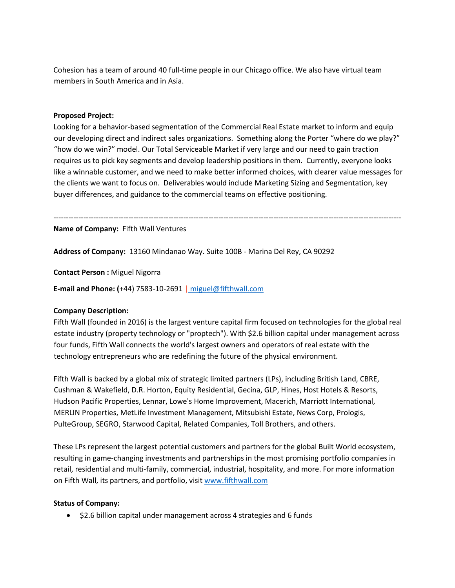Cohesion has a team of around 40 full-time people in our Chicago office. We also have virtual team members in South America and in Asia.

### **Proposed Project:**

Looking for a behavior-based segmentation of the Commercial Real Estate market to inform and equip our developing direct and indirect sales organizations. Something along the Porter "where do we play?" "how do we win?" model. Our Total Serviceable Market if very large and our need to gain traction requires us to pick key segments and develop leadership positions in them. Currently, everyone looks like a winnable customer, and we need to make better informed choices, with clearer value messages for the clients we want to focus on. Deliverables would include Marketing Sizing and Segmentation, key buyer differences, and guidance to the commercial teams on effective positioning.

-------------------------------------------------------------------------------------------------------------------------------------------

**Name of Company:** Fifth Wall Ventures

**Address of Company:** 13160 Mindanao Way. Suite 100B - Marina Del Rey, CA 90292

**Contact Person :** Miguel Nigorra

**E-mail and Phone: (**+44) 7583-10-2691 **|** [miguel@fifthwall.com](mailto:%20miguel@fifthwall.com)

## **Company Description:**

Fifth Wall (founded in 2016) is the largest venture capital firm focused on technologies for the global real estate industry (property technology or "proptech"). With \$2.6 billion capital under management across four funds, Fifth Wall connects the world's largest owners and operators of real estate with the technology entrepreneurs who are redefining the future of the physical environment.

Fifth Wall is backed by a global mix of strategic limited partners (LPs), including British Land, CBRE, Cushman & Wakefield, D.R. Horton, Equity Residential, Gecina, GLP, Hines, Host Hotels & Resorts, Hudson Pacific Properties, Lennar, Lowe's Home Improvement, Macerich, Marriott International, MERLIN Properties, MetLife Investment Management, Mitsubishi Estate, News Corp, Prologis, PulteGroup, SEGRO, Starwood Capital, Related Companies, Toll Brothers, and others.

These LPs represent the largest potential customers and partners for the global Built World ecosystem, resulting in game-changing investments and partnerships in the most promising portfolio companies in retail, residential and multi-family, commercial, industrial, hospitality, and more. For more information on Fifth Wall, its partners, and portfolio, visit [www.fifthwall.com](http://www.fifthwall.com/)

#### **Status of Company:**

• \$2.6 billion capital under management across 4 strategies and 6 funds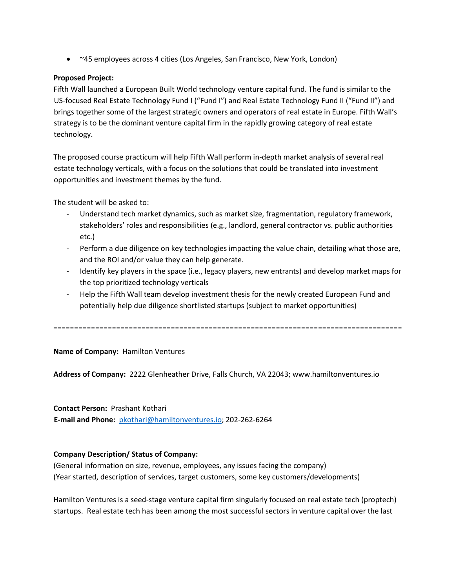• ~45 employees across 4 cities (Los Angeles, San Francisco, New York, London)

# **Proposed Project:**

Fifth Wall launched a European Built World technology venture capital fund. The fund is similar to the US-focused Real Estate Technology Fund I ("Fund I") and Real Estate Technology Fund II ("Fund II") and brings together some of the largest strategic owners and operators of real estate in Europe. Fifth Wall's strategy is to be the dominant venture capital firm in the rapidly growing category of real estate technology.

The proposed course practicum will help Fifth Wall perform in-depth market analysis of several real estate technology verticals, with a focus on the solutions that could be translated into investment opportunities and investment themes by the fund.

The student will be asked to:

- Understand tech market dynamics, such as market size, fragmentation, regulatory framework, stakeholders' roles and responsibilities (e.g., landlord, general contractor vs. public authorities etc.)
- Perform a due diligence on key technologies impacting the value chain, detailing what those are, and the ROI and/or value they can help generate.
- Identify key players in the space (i.e., legacy players, new entrants) and develop market maps for the top prioritized technology verticals
- Help the Fifth Wall team develop investment thesis for the newly created European Fund and potentially help due diligence shortlisted startups (subject to market opportunities)

-----------------------------------------------------------------------------------

## **Name of Company:** Hamilton Ventures

**Address of Company:** 2222 Glenheather Drive, Falls Church, VA 22043; www.hamiltonventures.io

## **Contact Person:** Prashant Kothari

**E-mail and Phone:** [pkothari@hamiltonventures.io;](mailto:pkothari@hamiltonventures.io) 202-262-6264

## **Company Description/ Status of Company:**

(General information on size, revenue, employees, any issues facing the company) (Year started, description of services, target customers, some key customers/developments)

Hamilton Ventures is a seed-stage venture capital firm singularly focused on real estate tech (proptech) startups. Real estate tech has been among the most successful sectors in venture capital over the last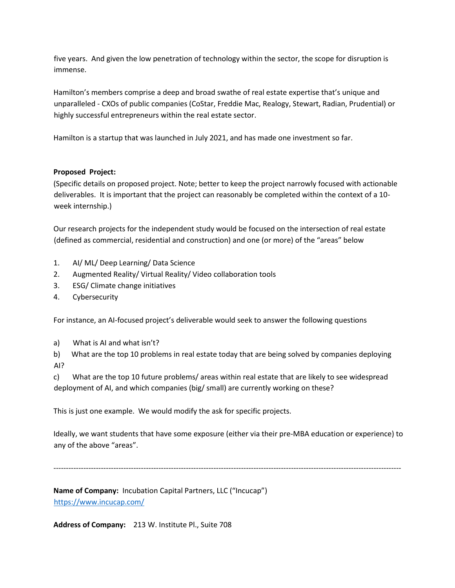five years. And given the low penetration of technology within the sector, the scope for disruption is immense.

Hamilton's members comprise a deep and broad swathe of real estate expertise that's unique and unparalleled - CXOs of public companies (CoStar, Freddie Mac, Realogy, Stewart, Radian, Prudential) or highly successful entrepreneurs within the real estate sector.

Hamilton is a startup that was launched in July 2021, and has made one investment so far.

## **Proposed Project:**

(Specific details on proposed project. Note; better to keep the project narrowly focused with actionable deliverables. It is important that the project can reasonably be completed within the context of a 10 week internship.)

Our research projects for the independent study would be focused on the intersection of real estate (defined as commercial, residential and construction) and one (or more) of the "areas" below

- 1. AI/ ML/ Deep Learning/ Data Science
- 2. Augmented Reality/ Virtual Reality/ Video collaboration tools
- 3. ESG/ Climate change initiatives
- 4. Cybersecurity

For instance, an AI-focused project's deliverable would seek to answer the following questions

a) What is AI and what isn't?

b) What are the top 10 problems in real estate today that are being solved by companies deploying AI?

c) What are the top 10 future problems/ areas within real estate that are likely to see widespread deployment of AI, and which companies (big/ small) are currently working on these?

This is just one example. We would modify the ask for specific projects.

Ideally, we want students that have some exposure (either via their pre-MBA education or experience) to any of the above "areas".

-------------------------------------------------------------------------------------------------------------------------------------------

**Name of Company:** Incubation Capital Partners, LLC ("Incucap") <https://www.incucap.com/>

**Address of Company:** 213 W. Institute Pl., Suite 708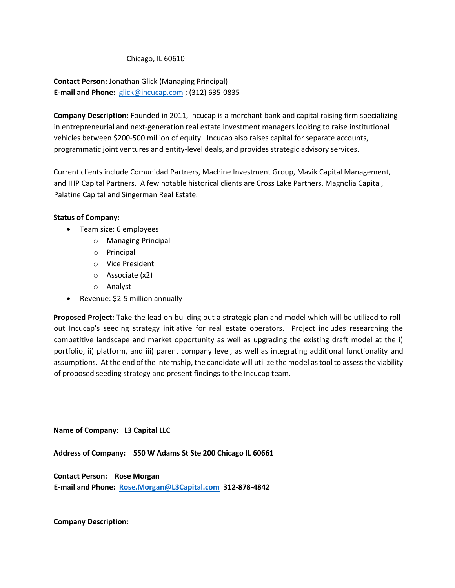Chicago, IL 60610

**Contact Person:** Jonathan Glick (Managing Principal) **E-mail and Phone:** [glick@incucap.com](mailto:glick@incucap.com) ; (312) 635-0835

**Company Description:** Founded in 2011, Incucap is a merchant bank and capital raising firm specializing in entrepreneurial and next-generation real estate investment managers looking to raise institutional vehicles between \$200-500 million of equity. Incucap also raises capital for separate accounts, programmatic joint ventures and entity-level deals, and provides strategic advisory services.

Current clients include Comunidad Partners, Machine Investment Group, Mavik Capital Management, and IHP Capital Partners. A few notable historical clients are Cross Lake Partners, Magnolia Capital, Palatine Capital and Singerman Real Estate.

## **Status of Company:**

- Team size: 6 employees
	- o Managing Principal
	- o Principal
	- o Vice President
	- o Associate (x2)
	- o Analyst
- Revenue: \$2-5 million annually

**Proposed Project:** Take the lead on building out a strategic plan and model which will be utilized to rollout Incucap's seeding strategy initiative for real estate operators. Project includes researching the competitive landscape and market opportunity as well as upgrading the existing draft model at the i) portfolio, ii) platform, and iii) parent company level, as well as integrating additional functionality and assumptions. At the end of the internship, the candidate will utilize the model as tool to assess the viability of proposed seeding strategy and present findings to the Incucap team.

------------------------------------------------------------------------------------------------------------------------------------------

# **Name of Company: L3 Capital LLC**

**Address of Company: 550 W Adams St Ste 200 Chicago IL 60661**

**Contact Person: Rose Morgan E-mail and Phone: [Rose.Morgan@L3Capital.com](mailto:Rose.Morgan@L3Capital.com) 312-878-4842**

**Company Description:**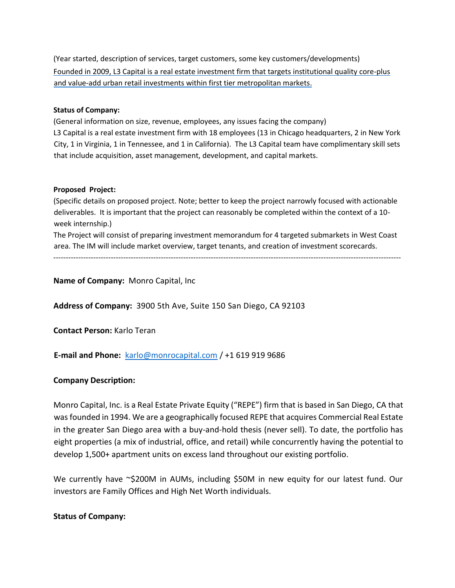(Year started, description of services, target customers, some key customers/developments) Founded in 2009, L3 Capital is a real estate investment firm that targets institutional quality core-plus and value-add urban retail investments within first tier metropolitan markets.

## **Status of Company:**

(General information on size, revenue, employees, any issues facing the company) L3 Capital is a real estate investment firm with 18 employees (13 in Chicago headquarters, 2 in New York City, 1 in Virginia, 1 in Tennessee, and 1 in California). The L3 Capital team have complimentary skill sets that include acquisition, asset management, development, and capital markets.

#### **Proposed Project:**

(Specific details on proposed project. Note; better to keep the project narrowly focused with actionable deliverables. It is important that the project can reasonably be completed within the context of a 10 week internship.)

The Project will consist of preparing investment memorandum for 4 targeted submarkets in West Coast area. The IM will include market overview, target tenants, and creation of investment scorecards.

-------------------------------------------------------------------------------------------------------------------------------------------

**Name of Company:** Monro Capital, Inc

**Address of Company:** 3900 5th Ave, Suite 150 San Diego, CA 92103

**Contact Person:** Karlo Teran

**E-mail and Phone:** [karlo@monrocapital.com](mailto:karlo@monrocapital.com) / +1 619 919 9686

## **Company Description:**

Monro Capital, Inc. is a Real Estate Private Equity ("REPE") firm that is based in San Diego, CA that was founded in 1994. We are a geographically focused REPE that acquires Commercial Real Estate in the greater San Diego area with a buy-and-hold thesis (never sell). To date, the portfolio has eight properties (a mix of industrial, office, and retail) while concurrently having the potential to develop 1,500+ apartment units on excess land throughout our existing portfolio.

We currently have ~\$200M in AUMs, including \$50M in new equity for our latest fund. Our investors are Family Offices and High Net Worth individuals.

## **Status of Company:**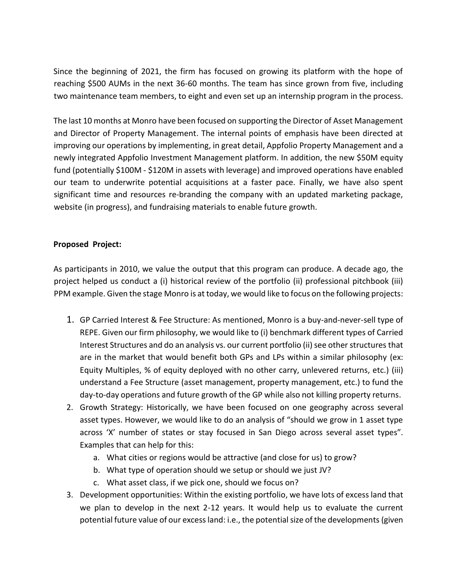Since the beginning of 2021, the firm has focused on growing its platform with the hope of reaching \$500 AUMs in the next 36-60 months. The team has since grown from five, including two maintenance team members, to eight and even set up an internship program in the process.

The last 10 months at Monro have been focused on supporting the Director of Asset Management and Director of Property Management. The internal points of emphasis have been directed at improving our operations by implementing, in great detail, Appfolio Property Management and a newly integrated Appfolio Investment Management platform. In addition, the new \$50M equity fund (potentially \$100M - \$120M in assets with leverage) and improved operations have enabled our team to underwrite potential acquisitions at a faster pace. Finally, we have also spent significant time and resources re-branding the company with an updated marketing package, website (in progress), and fundraising materials to enable future growth.

# **Proposed Project:**

As participants in 2010, we value the output that this program can produce. A decade ago, the project helped us conduct a (i) historical review of the portfolio (ii) professional pitchbook (iii) PPM example. Given the stage Monro is at today, we would like to focus on the following projects:

- 1. GP Carried Interest & Fee Structure: As mentioned, Monro is a buy-and-never-sell type of REPE. Given our firm philosophy, we would like to (i) benchmark different types of Carried Interest Structures and do an analysis vs. our current portfolio (ii) see other structures that are in the market that would benefit both GPs and LPs within a similar philosophy (ex: Equity Multiples, % of equity deployed with no other carry, unlevered returns, etc.) (iii) understand a Fee Structure (asset management, property management, etc.) to fund the day-to-day operations and future growth of the GP while also not killing property returns.
- 2. Growth Strategy: Historically, we have been focused on one geography across several asset types. However, we would like to do an analysis of "should we grow in 1 asset type across 'X' number of states or stay focused in San Diego across several asset types". Examples that can help for this:
	- a. What cities or regions would be attractive (and close for us) to grow?
	- b. What type of operation should we setup or should we just JV?
	- c. What asset class, if we pick one, should we focus on?
- 3. Development opportunities: Within the existing portfolio, we have lots of excess land that we plan to develop in the next 2-12 years. It would help us to evaluate the current potential future value of our excess land: i.e., the potential size of the developments(given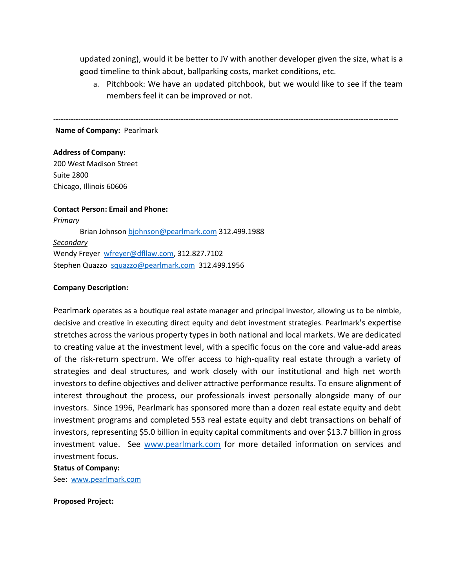updated zoning), would it be better to JV with another developer given the size, what is a good timeline to think about, ballparking costs, market conditions, etc.

------------------------------------------------------------------------------------------------------------------------------------------

a. Pitchbook: We have an updated pitchbook, but we would like to see if the team members feel it can be improved or not.

**Name of Company:** Pearlmark

#### **Address of Company:**

200 West Madison Street Suite 2800 Chicago, Illinois 60606

#### **Contact Person: Email and Phone:**

*Primary* Brian Johnso[n bjohnson@pearlmark.com](mailto:bjohnson@pearlmark.com) 312.499.1988 *Secondary* Wendy Freyer wfreyer@dfllaw.com, 312.827.7102 Stephen Quazzo squazzo@pearlmark.com 312.499.1956

## **Company Description:**

Pearlmark operates as a boutique real estate manager and principal investor, allowing us to be nimble, decisive and creative in executing direct equity and debt investment strategies. Pearlmark's expertise stretches across the various property types in both national and local markets. We are dedicated to creating value at the investment level, with a specific focus on the core and value-add areas of the risk-return spectrum. We offer access to high-quality real estate through a variety of strategies and deal structures, and work closely with our institutional and high net worth investors to define objectives and deliver attractive performance results. To ensure alignment of interest throughout the process, our professionals invest personally alongside many of our investors. Since 1996, Pearlmark has sponsored more than a dozen real estate equity and debt investment programs and completed 553 real estate equity and debt transactions on behalf of investors, representing \$5.0 billion in equity capital commitments and over \$13.7 billion in gross investment value. See [www.pearlmark.com](http://www.pearlmark.com/) for more detailed information on services and investment focus.

## **Status of Company:**

See: [www.pearlmark.com](http://www.pearlmark.com/)

**Proposed Project:**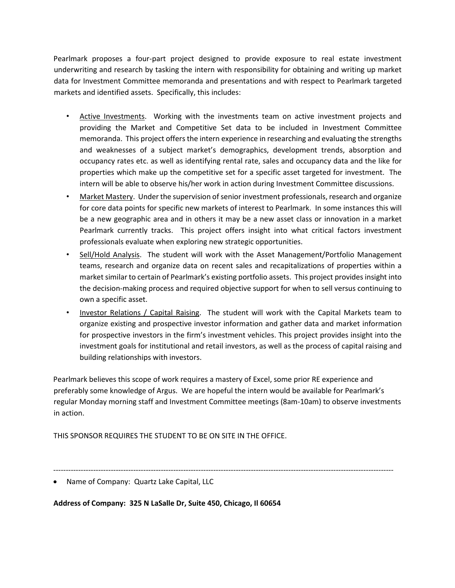Pearlmark proposes a four-part project designed to provide exposure to real estate investment underwriting and research by tasking the intern with responsibility for obtaining and writing up market data for Investment Committee memoranda and presentations and with respect to Pearlmark targeted markets and identified assets. Specifically, this includes:

- Active Investments. Working with the investments team on active investment projects and providing the Market and Competitive Set data to be included in Investment Committee memoranda. This project offers the intern experience in researching and evaluating the strengths and weaknesses of a subject market's demographics, development trends, absorption and occupancy rates etc. as well as identifying rental rate, sales and occupancy data and the like for properties which make up the competitive set for a specific asset targeted for investment. The intern will be able to observe his/her work in action during Investment Committee discussions.
- Market Mastery. Under the supervision of senior investment professionals, research and organize for core data points for specific new markets of interest to Pearlmark. In some instances this will be a new geographic area and in others it may be a new asset class or innovation in a market Pearlmark currently tracks. This project offers insight into what critical factors investment professionals evaluate when exploring new strategic opportunities.
- Sell/Hold Analysis. The student will work with the Asset Management/Portfolio Management teams, research and organize data on recent sales and recapitalizations of properties within a market similar to certain of Pearlmark's existing portfolio assets. This project provides insight into the decision-making process and required objective support for when to sell versus continuing to own a specific asset.
- Investor Relations / Capital Raising. The student will work with the Capital Markets team to organize existing and prospective investor information and gather data and market information for prospective investors in the firm's investment vehicles. This project provides insight into the investment goals for institutional and retail investors, as well as the process of capital raising and building relationships with investors.

Pearlmark believes this scope of work requires a mastery of Excel, some prior RE experience and preferably some knowledge of Argus. We are hopeful the intern would be available for Pearlmark's regular Monday morning staff and Investment Committee meetings (8am-10am) to observe investments in action.

THIS SPONSOR REQUIRES THE STUDENT TO BE ON SITE IN THE OFFICE.

----------------------------------------------------------------------------------------------------------------------------------------

**Address of Company: 325 N LaSalle Dr, Suite 450, Chicago, Il 60654**

<sup>•</sup> Name of Company: Quartz Lake Capital, LLC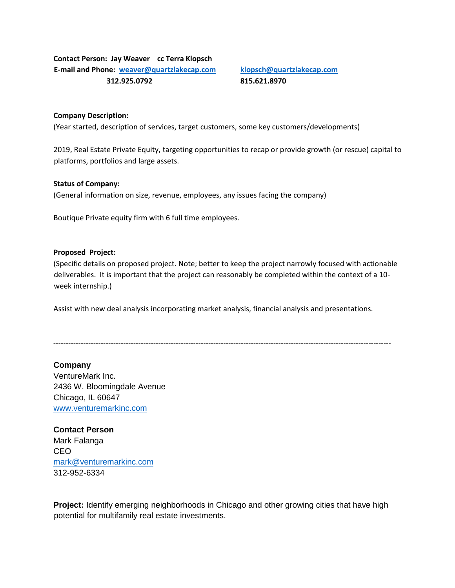# **Contact Person: Jay Weaver cc Terra Klopsch E-mail and Phone: [weaver@quartzlakecap.com](mailto:weaver@quartzlakecap.com) [klopsch@quartzlakecap.com](mailto:klopsch@quartzlakecap.com) 312.925.0792 815.621.8970**

#### **Company Description:**

(Year started, description of services, target customers, some key customers/developments)

2019, Real Estate Private Equity, targeting opportunities to recap or provide growth (or rescue) capital to platforms, portfolios and large assets.

#### **Status of Company:**

(General information on size, revenue, employees, any issues facing the company)

Boutique Private equity firm with 6 full time employees.

#### **Proposed Project:**

(Specific details on proposed project. Note; better to keep the project narrowly focused with actionable deliverables. It is important that the project can reasonably be completed within the context of a 10 week internship.)

Assist with new deal analysis incorporating market analysis, financial analysis and presentations.

---------------------------------------------------------------------------------------------------------------------------------------

## **Company**

VentureMark Inc. 2436 W. Bloomingdale Avenue Chicago, IL 60647 [www.venturemarkinc.com](http://www.venturemarkinc.com/)

**Contact Person** Mark Falanga CEO [mark@venturemarkinc.com](mailto:mark@venturemarkinc.com) 312-952-6334

**Project:** Identify emerging neighborhoods in Chicago and other growing cities that have high potential for multifamily real estate investments.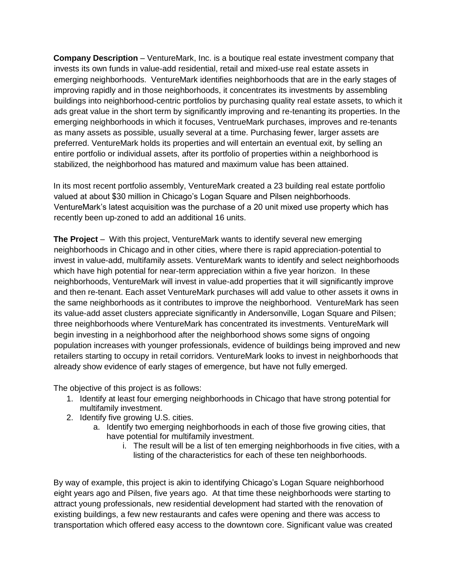**Company Description** – VentureMark, Inc. is a boutique real estate investment company that invests its own funds in value-add residential, retail and mixed-use real estate assets in emerging neighborhoods. VentureMark identifies neighborhoods that are in the early stages of improving rapidly and in those neighborhoods, it concentrates its investments by assembling buildings into neighborhood-centric portfolios by purchasing quality real estate assets, to which it ads great value in the short term by significantly improving and re-tenanting its properties. In the emerging neighborhoods in which it focuses, VentrueMark purchases, improves and re-tenants as many assets as possible, usually several at a time. Purchasing fewer, larger assets are preferred. VentureMark holds its properties and will entertain an eventual exit, by selling an entire portfolio or individual assets, after its portfolio of properties within a neighborhood is stabilized, the neighborhood has matured and maximum value has been attained.

In its most recent portfolio assembly, VentureMark created a 23 building real estate portfolio valued at about \$30 million in Chicago's Logan Square and Pilsen neighborhoods. VentureMark's latest acquisition was the purchase of a 20 unit mixed use property which has recently been up-zoned to add an additional 16 units.

**The Project** – With this project, VentureMark wants to identify several new emerging neighborhoods in Chicago and in other cities, where there is rapid appreciation-potential to invest in value-add, multifamily assets. VentureMark wants to identify and select neighborhoods which have high potential for near-term appreciation within a five year horizon. In these neighborhoods, VentureMark will invest in value-add properties that it will significantly improve and then re-tenant. Each asset VentureMark purchases will add value to other assets it owns in the same neighborhoods as it contributes to improve the neighborhood. VentureMark has seen its value-add asset clusters appreciate significantly in Andersonville, Logan Square and Pilsen; three neighborhoods where VentureMark has concentrated its investments. VentureMark will begin investing in a neighborhood after the neighborhood shows some signs of ongoing population increases with younger professionals, evidence of buildings being improved and new retailers starting to occupy in retail corridors. VentureMark looks to invest in neighborhoods that already show evidence of early stages of emergence, but have not fully emerged.

The objective of this project is as follows:

- 1. Identify at least four emerging neighborhoods in Chicago that have strong potential for multifamily investment.
- 2. Identify five growing U.S. cities.
	- a. Identify two emerging neighborhoods in each of those five growing cities, that have potential for multifamily investment.
		- i. The result will be a list of ten emerging neighborhoods in five cities, with a listing of the characteristics for each of these ten neighborhoods.

By way of example, this project is akin to identifying Chicago's Logan Square neighborhood eight years ago and Pilsen, five years ago. At that time these neighborhoods were starting to attract young professionals, new residential development had started with the renovation of existing buildings, a few new restaurants and cafes were opening and there was access to transportation which offered easy access to the downtown core. Significant value was created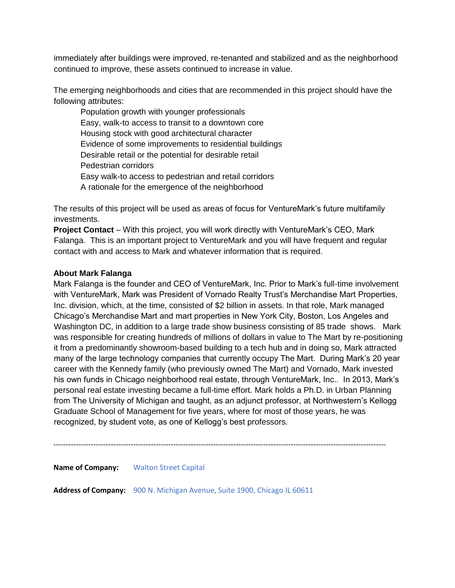immediately after buildings were improved, re-tenanted and stabilized and as the neighborhood continued to improve, these assets continued to increase in value.

The emerging neighborhoods and cities that are recommended in this project should have the following attributes:

Population growth with younger professionals Easy, walk-to access to transit to a downtown core Housing stock with good architectural character Evidence of some improvements to residential buildings Desirable retail or the potential for desirable retail Pedestrian corridors Easy walk-to access to pedestrian and retail corridors A rationale for the emergence of the neighborhood

The results of this project will be used as areas of focus for VentureMark's future multifamily investments.

**Project Contact** – With this project, you will work directly with VentureMark's CEO, Mark Falanga. This is an important project to VentureMark and you will have frequent and regular contact with and access to Mark and whatever information that is required.

# **About Mark Falanga**

Mark Falanga is the founder and CEO of VentureMark, Inc. Prior to Mark's full-time involvement with VentureMark, Mark was President of Vornado Realty Trust's Merchandise Mart Properties, Inc. division, which, at the time, consisted of \$2 billion in assets. In that role, Mark managed Chicago's Merchandise Mart and mart properties in New York City, Boston, Los Angeles and Washington DC, in addition to a large trade show business consisting of 85 trade shows. Mark was responsible for creating hundreds of millions of dollars in value to The Mart by re-positioning it from a predominantly showroom-based building to a tech hub and in doing so, Mark attracted many of the large technology companies that currently occupy The Mart. During Mark's 20 year career with the Kennedy family (who previously owned The Mart) and Vornado, Mark invested his own funds in Chicago neighborhood real estate, through VentureMark, Inc.. In 2013, Mark's personal real estate investing became a full-time effort. Mark holds a Ph.D. in Urban Planning from The University of Michigan and taught, as an adjunct professor, at Northwestern's Kellogg Graduate School of Management for five years, where for most of those years, he was recognized, by student vote, as one of Kellogg's best professors.

-------------------------------------------------------------------------------------------------------------------------------------

**Name of Company:** Walton Street Capital

**Address of Company:** 900 N. Michigan Avenue, Suite 1900, Chicago IL 60611